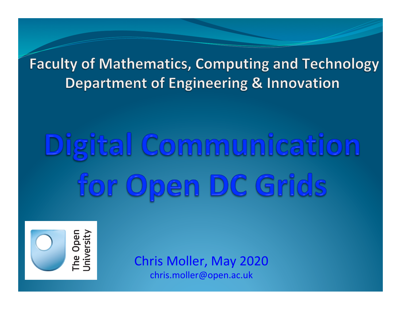**Faculty of Mathematics, Computing and Technology Department of Engineering & Innovation** 

# Digital Communication for Open DC Grids



Chris Moller, May 2020 chris.moller@open.ac.uk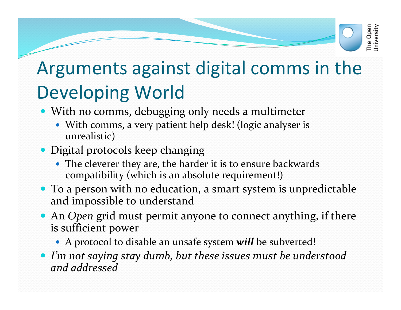# The Open<br>University

#### Arguments against digital comms in the Developing World

- With no comms, debugging only needs a multimeter
	- With comms, a very patient help desk! (logic analyser is unrealistic)
- Digital protocols keep changing
	- The cleverer they are, the harder it is to ensure backwards compatibility (which is an absolute requirement!)
- To a person with no education, a smart system is unpredictable and impossible to understand
- An *Open* grid must permit anyone to connect anything, if there is sufficient power
	- A protocol to disable an unsafe system *will* be subverted!
- I'm not saying stay dumb, but these issues must be understood *and addressed*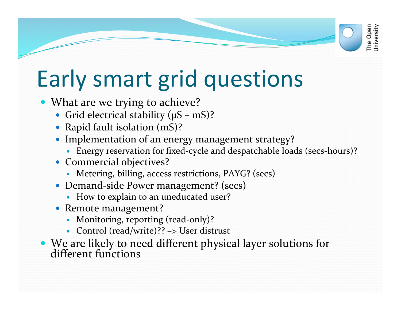### Early smart grid questions

- What are we trying to achieve?
	- Grid electrical stability  $(\mu S mS)$ ?
	- Rapid fault isolation (mS)?
	- Implementation of an energy management strategy?
		- Energy reservation for fixed-cycle and despatchable loads (secs-hours)?

The Open<br>Jniversity

- Commercial objectives?
	- Metering, billing, access restrictions, PAYG? (secs)
- Demand-side Power management? (secs)
	- How to explain to an uneducated user?
- Remote management?
	- Monitoring, reporting (read-only)?
	- Control (read/write)?? -> User distrust
- We are likely to need different physical layer solutions for different functions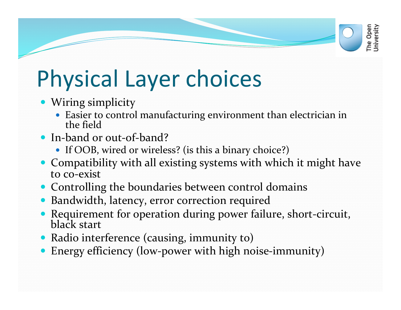# Physical Layer choices

- Wiring simplicity
	- Easier to control manufacturing environment than electrician in the field

The Open<br>Jniversity

- In-band or out-of-band?
	- If OOB, wired or wireless? (is this a binary choice?)
- Compatibility with all existing systems with which it might have to co-exist
- Controlling the boundaries between control domains
- Bandwidth, latency, error correction required
- Requirement for operation during power failure, short-circuit, black start
- Radio interference (causing, immunity to)
- Energy efficiency (low-power with high noise-immunity)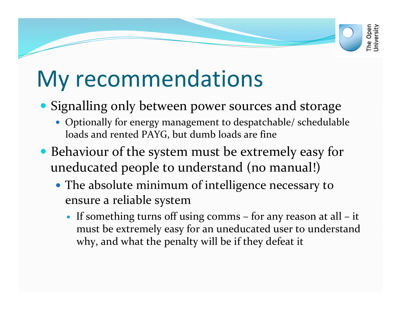#### My recommendations

- Signalling only between power sources and storage
	- Optionally for energy management to despatchable/ schedulable loads and rented PAYG, but dumb loads are fine
- Behaviour of the system must be extremely easy for uneducated people to understand (no manual!)
	- The absolute minimum of intelligence necessary to ensure a reliable system
		- If something turns off using comms  $-$  for any reason at all  $-$  it must be extremely easy for an uneducated user to understand why, and what the penalty will be if they defeat it